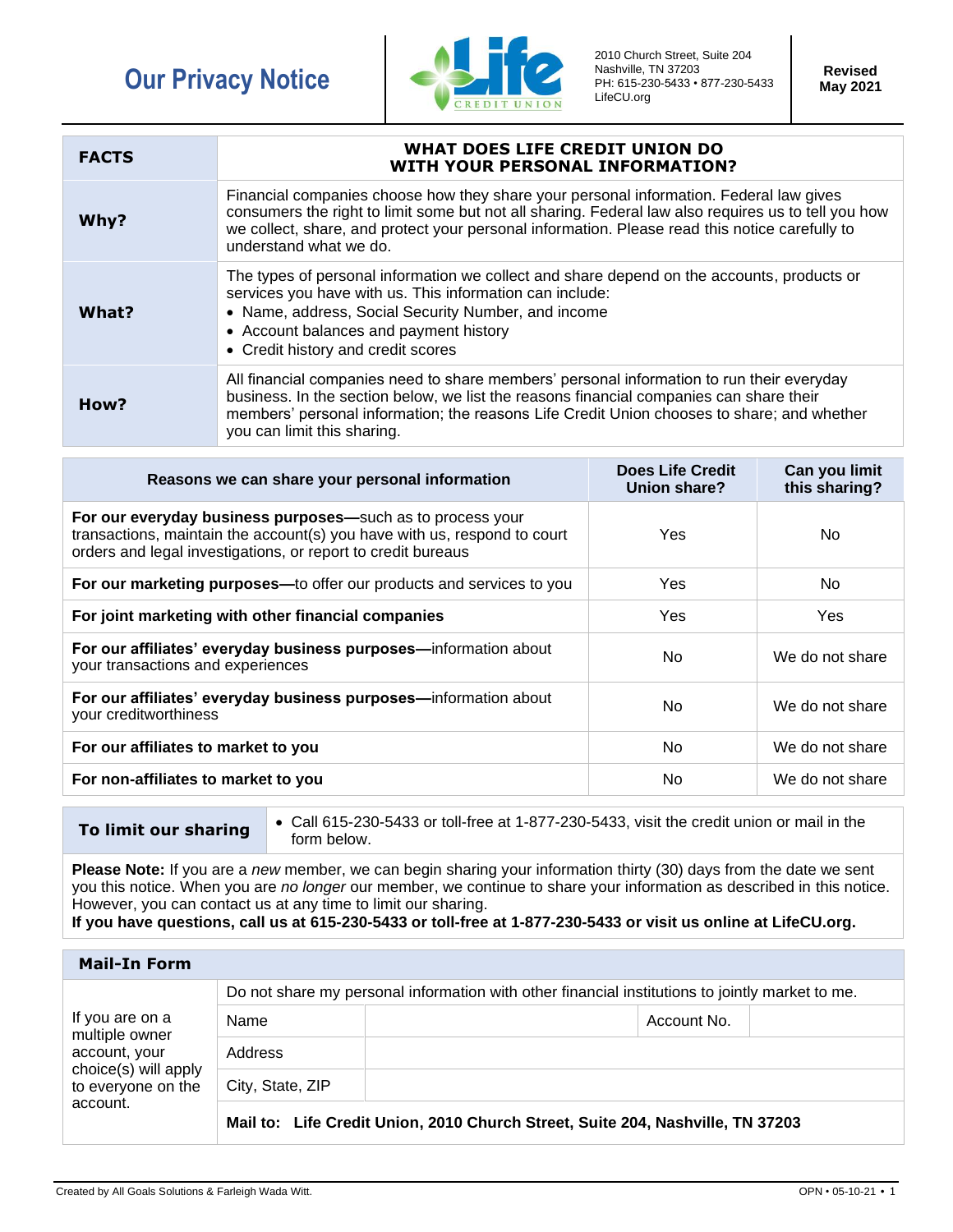## **Our Privacy Notice**



2010 Church Street, Suite 204 Nashville, TN 37203 PH: 615-230-5433 • 877-230-5433 LifeCU.org

**Revised May 2021**

| <b>FACTS</b> | WHAT DOES LIFE CREDIT UNION DO<br><b>WITH YOUR PERSONAL INFORMATION?</b>                                                                                                                                                                                                                                                  |
|--------------|---------------------------------------------------------------------------------------------------------------------------------------------------------------------------------------------------------------------------------------------------------------------------------------------------------------------------|
| Why?         | Financial companies choose how they share your personal information. Federal law gives<br>consumers the right to limit some but not all sharing. Federal law also requires us to tell you how<br>we collect, share, and protect your personal information. Please read this notice carefully to<br>understand what we do. |
| What?        | The types of personal information we collect and share depend on the accounts, products or<br>services you have with us. This information can include:<br>• Name, address, Social Security Number, and income<br>• Account balances and payment history<br>• Credit history and credit scores                             |
| How?         | All financial companies need to share members' personal information to run their everyday<br>business. In the section below, we list the reasons financial companies can share their<br>members' personal information; the reasons Life Credit Union chooses to share; and whether<br>you can limit this sharing.         |

| Reasons we can share your personal information                                                                                                                                                         | <b>Does Life Credit</b><br>Union share? | Can you limit<br>this sharing? |
|--------------------------------------------------------------------------------------------------------------------------------------------------------------------------------------------------------|-----------------------------------------|--------------------------------|
| For our everyday business purposes—such as to process your<br>transactions, maintain the account(s) you have with us, respond to court<br>orders and legal investigations, or report to credit bureaus | Yes.                                    | No.                            |
| For our marketing purposes—to offer our products and services to you                                                                                                                                   | <b>Yes</b>                              | No.                            |
| For joint marketing with other financial companies                                                                                                                                                     | Yes.                                    | <b>Yes</b>                     |
| For our affiliates' everyday business purposes-information about<br>your transactions and experiences                                                                                                  | No.                                     | We do not share                |
| For our affiliates' everyday business purposes-information about<br>your creditworthiness                                                                                                              | No.                                     | We do not share                |
| For our affiliates to market to you                                                                                                                                                                    | No.                                     | We do not share                |
| For non-affiliates to market to you                                                                                                                                                                    | No                                      | We do not share                |

**To limit our sharing** • Call 615-230-5433 or toll-free at 1-877-230-5433, visit the credit union or mail in the form below.

**Please Note:** If you are a *new* member, we can begin sharing your information thirty (30) days from the date we sent you this notice. When you are *no longer* our member, we continue to share your information as described in this notice. However, you can contact us at any time to limit our sharing.

**If you have questions, call us at 615-230-5433 or toll-free at 1-877-230-5433 or visit us online at LifeCU.org.**

| <b>Mail-In Form</b>                                                                                          |                                                                                                 |                                                                                |  |  |
|--------------------------------------------------------------------------------------------------------------|-------------------------------------------------------------------------------------------------|--------------------------------------------------------------------------------|--|--|
| If you are on a<br>multiple owner<br>account, your<br>choice(s) will apply<br>to everyone on the<br>account. | Do not share my personal information with other financial institutions to jointly market to me. |                                                                                |  |  |
|                                                                                                              | Name                                                                                            | Account No.                                                                    |  |  |
|                                                                                                              | Address                                                                                         |                                                                                |  |  |
|                                                                                                              | City, State, ZIP                                                                                |                                                                                |  |  |
|                                                                                                              |                                                                                                 | Mail to: Life Credit Union, 2010 Church Street, Suite 204, Nashville, TN 37203 |  |  |